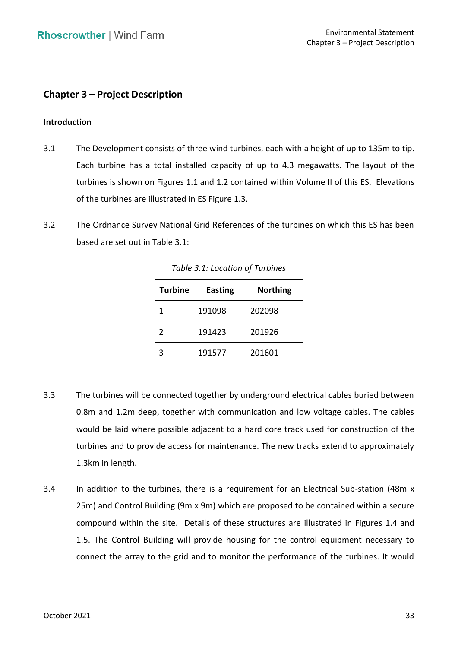# **Chapter 3 – Project Description**

## **Introduction**

- 3.1 The Development consists of three wind turbines, each with a height of up to 135m to tip. Each turbine has a total installed capacity of up to 4.3 megawatts. The layout of the turbines is shown on Figures 1.1 and 1.2 contained within Volume II of this ES. Elevations of the turbines are illustrated in ES Figure 1.3.
- 3.2 The Ordnance Survey National Grid References of the turbines on which this ES has been based are set out in Table 3.1:

| <b>Turbine</b> | <b>Easting</b> | <b>Northing</b> |  |  |  |  |
|----------------|----------------|-----------------|--|--|--|--|
| 1              | 191098         | 202098          |  |  |  |  |
| $\mathcal{P}$  | 191423         | 201926          |  |  |  |  |
| 3              | 191577         | 201601          |  |  |  |  |

 *Table 3.1: Location of Turbines* 

- 3.3 The turbines will be connected together by underground electrical cables buried between 0.8m and 1.2m deep, together with communication and low voltage cables. The cables would be laid where possible adjacent to a hard core track used for construction of the turbines and to provide access for maintenance. The new tracks extend to approximately 1.3km in length.
- 3.4 In addition to the turbines, there is a requirement for an Electrical Sub-station (48m x 25m) and Control Building (9m x 9m) which are proposed to be contained within a secure compound within the site. Details of these structures are illustrated in Figures 1.4 and connect the array to the grid and to monitor the performance of the turbines. It would 1.5. The Control Building will provide housing for the control equipment necessary to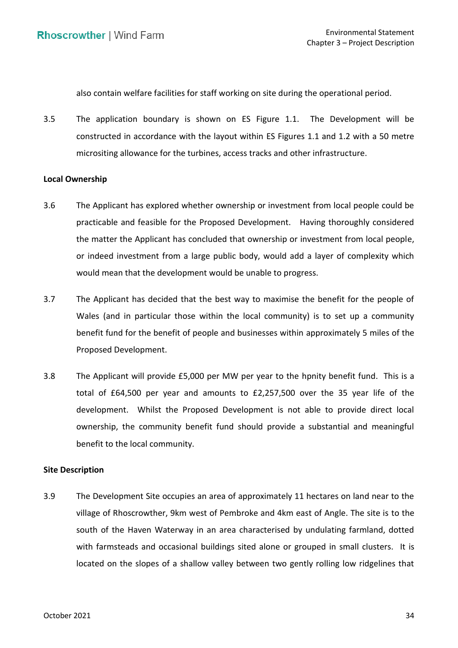also contain welfare facilities for staff working on site during the operational period.

 3.5 The application boundary is shown on ES Figure 1.1. The Development will be constructed in accordance with the layout within ES Figures 1.1 and 1.2 with a 50 metre micrositing allowance for the turbines, access tracks and other infrastructure.

#### **Local Ownership**

- 3.6 The Applicant has explored whether ownership or investment from local people could be practicable and feasible for the Proposed Development. Having thoroughly considered the matter the Applicant has concluded that ownership or investment from local people, or indeed investment from a large public body, would add a layer of complexity which would mean that the development would be unable to progress.
- 3.7 The Applicant has decided that the best way to maximise the benefit for the people of Wales (and in particular those within the local community) is to set up a community benefit fund for the benefit of people and businesses within approximately 5 miles of the Proposed Development.
- 3.8 The Applicant will provide £5,000 per MW per year to the hpnity benefit fund. This is a total of £64,500 per year and amounts to £2,257,500 over the 35 year life of the development. Whilst the Proposed Development is not able to provide direct local ownership, the community benefit fund should provide a substantial and meaningful benefit to the local community.

## **Site Description**

 3.9 The Development Site occupies an area of approximately 11 hectares on land near to the village of Rhoscrowther, 9km west of Pembroke and 4km east of Angle. The site is to the south of the Haven Waterway in an area characterised by undulating farmland, dotted with farmsteads and occasional buildings sited alone or grouped in small clusters. It is located on the slopes of a shallow valley between two gently rolling low ridgelines that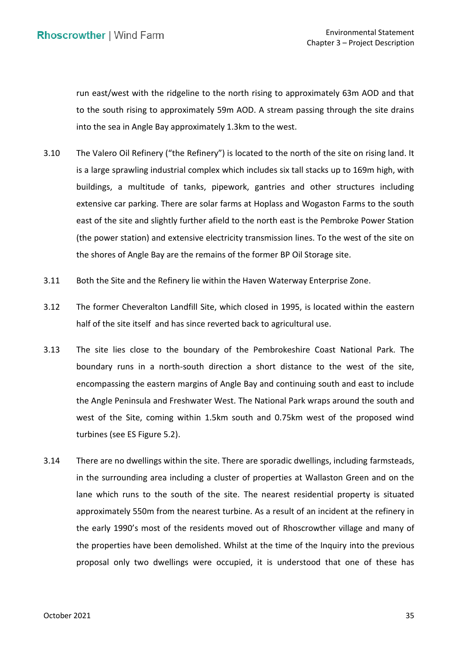run east/west with the ridgeline to the north rising to approximately 63m AOD and that to the south rising to approximately 59m AOD. A stream passing through the site drains into the sea in Angle Bay approximately 1.3km to the west.

- 3.10 The Valero Oil Refinery ("the Refinery") is located to the north of the site on rising land. It is a large sprawling industrial complex which includes six tall stacks up to 169m high, with buildings, a multitude of tanks, pipework, gantries and other structures including extensive car parking. There are solar farms at Hoplass and Wogaston Farms to the south east of the site and slightly further afield to the north east is the Pembroke Power Station (the power station) and extensive electricity transmission lines. To the west of the site on the shores of Angle Bay are the remains of the former BP Oil Storage site.
- 3.11 Both the Site and the Refinery lie within the Haven Waterway Enterprise Zone.
- 3.12 The former Cheveralton Landfill Site, which closed in 1995, is located within the eastern half of the site itself and has since reverted back to agricultural use.
- boundary runs in a north-south direction a short distance to the west of the site, encompassing the eastern margins of Angle Bay and continuing south and east to include the Angle Peninsula and Freshwater West. The National Park wraps around the south and west of the Site, coming within 1.5km south and 0.75km west of the proposed wind turbines (see ES Figure 5.2). 3.13 The site lies close to the boundary of the Pembrokeshire Coast National Park. The
- 3.14 There are no dwellings within the site. There are sporadic dwellings, including farmsteads, in the surrounding area including a cluster of properties at Wallaston Green and on the lane which runs to the south of the site. The nearest residential property is situated approximately 550m from the nearest turbine. As a result of an incident at the refinery in the early 1990's most of the residents moved out of Rhoscrowther village and many of the properties have been demolished. Whilst at the time of the Inquiry into the previous proposal only two dwellings were occupied, it is understood that one of these has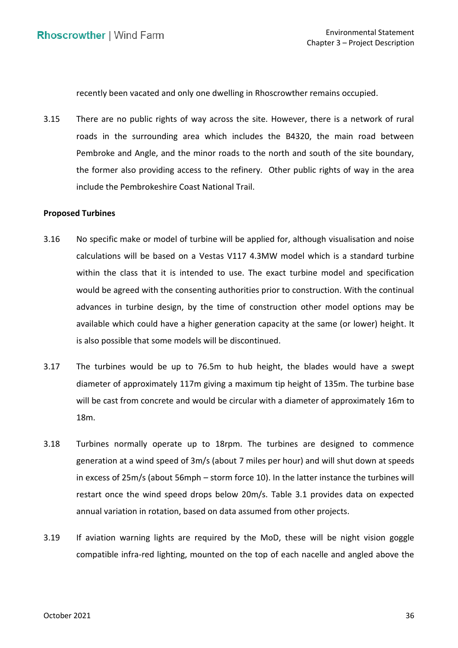recently been vacated and only one dwelling in Rhoscrowther remains occupied.

 3.15 There are no public rights of way across the site. However, there is a network of rural roads in the surrounding area which includes the B4320, the main road between Pembroke and Angle, and the minor roads to the north and south of the site boundary, the former also providing access to the refinery. Other public rights of way in the area include the Pembrokeshire Coast National Trail.

## **Proposed Turbines**

- 3.16 No specific make or model of turbine will be applied for, although visualisation and noise calculations will be based on a Vestas V117 4.3MW model which is a standard turbine within the class that it is intended to use. The exact turbine model and specification would be agreed with the consenting authorities prior to construction. With the continual advances in turbine design, by the time of construction other model options may be available which could have a higher generation capacity at the same (or lower) height. It is also possible that some models will be discontinued.
- 3.17 The turbines would be up to 76.5m to hub height, the blades would have a swept diameter of approximately 117m giving a maximum tip height of 135m. The turbine base will be cast from concrete and would be circular with a diameter of approximately 16m to 18m.
- 3.18 Turbines normally operate up to 18rpm. The turbines are designed to commence generation at a wind speed of 3m/s (about 7 miles per hour) and will shut down at speeds in excess of 25m/s (about 56mph – storm force 10). In the latter instance the turbines will restart once the wind speed drops below 20m/s. Table 3.1 provides data on expected annual variation in rotation, based on data assumed from other projects.
- 3.19 If aviation warning lights are required by the MoD, these will be night vision goggle compatible infra-red lighting, mounted on the top of each nacelle and angled above the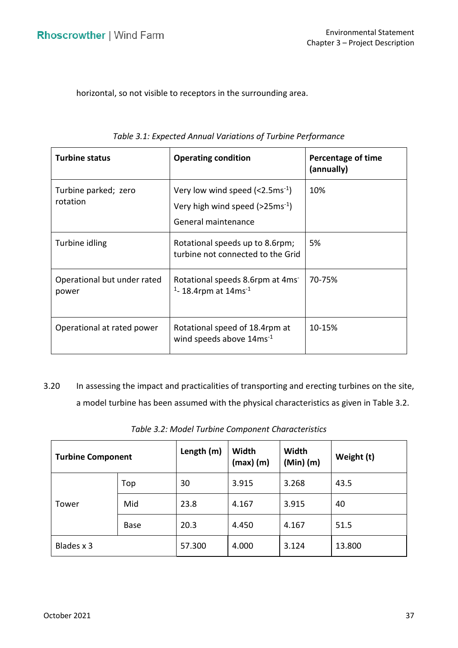horizontal, so not visible to receptors in the surrounding area.

| <b>Turbine status</b>                | <b>Operating condition</b>                                                                                                       | Percentage of time<br>(annually) |
|--------------------------------------|----------------------------------------------------------------------------------------------------------------------------------|----------------------------------|
| Turbine parked; zero<br>rotation     | Very low wind speed $\left($ < 2.5 ms <sup>-1</sup> )<br>Very high wind speed $($ >25ms <sup>-1</sup> $)$<br>General maintenance | 10%                              |
| Turbine idling                       | Rotational speeds up to 8.6rpm;<br>turbine not connected to the Grid                                                             | 5%                               |
| Operational but under rated<br>power | Rotational speeds 8.6rpm at 4ms<br>$1 - 18.4$ rpm at 14ms <sup>-1</sup>                                                          | 70-75%                           |
| Operational at rated power           | Rotational speed of 18.4rpm at<br>wind speeds above 14ms <sup>-1</sup>                                                           | 10-15%                           |

3.20 In assessing the impact and practicalities of transporting and erecting turbines on the site, a model turbine has been assumed with the physical characteristics as given in Table 3.2.

| <b>Turbine Component</b> |             | Length (m) | Width<br>$(max)$ (m) | Width<br>$(Min)$ (m) | Weight (t) |  |
|--------------------------|-------------|------------|----------------------|----------------------|------------|--|
|                          | Top         | 30         | 3.915                | 3.268                | 43.5       |  |
| Tower                    | Mid         | 23.8       | 4.167                | 3.915                | 40         |  |
|                          | <b>Base</b> | 20.3       | 4.450                | 4.167                | 51.5       |  |
| Blades x 3               |             | 57.300     | 4.000                | 3.124                | 13.800     |  |

*Table 3.2: Model Turbine Component Characteristics*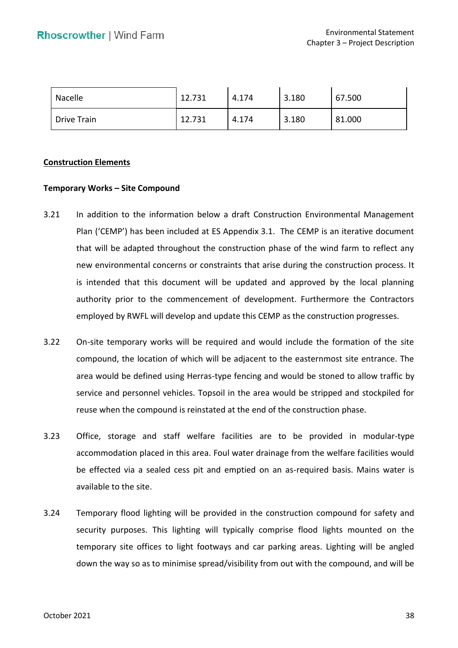| Nacelle            | 12.731 | 4.174 | 3.180 | 67.500 |
|--------------------|--------|-------|-------|--------|
| <b>Drive Train</b> | 12.731 | 4.174 | 3.180 | 81.000 |

#### **Construction Elements**

#### **Temporary Works – Site Compound**

- 3.21 In addition to the information below a draft Construction Environmental Management Plan ('CEMP') has been included at ES Appendix 3.1. The CEMP is an iterative document that will be adapted throughout the construction phase of the wind farm to reflect any is intended that this document will be updated and approved by the local planning authority prior to the commencement of development. Furthermore the Contractors employed by RWFL will develop and update this CEMP as the construction progresses. new environmental concerns or constraints that arise during the construction process. It
- 3.22 On-site temporary works will be required and would include the formation of the site compound, the location of which will be adjacent to the easternmost site entrance. The area would be defined using Herras-type fencing and would be stoned to allow traffic by service and personnel vehicles. Topsoil in the area would be stripped and stockpiled for reuse when the compound is reinstated at the end of the construction phase.
- 3.23 Office, storage and staff welfare facilities are to be provided in modular-type accommodation placed in this area. Foul water drainage from the welfare facilities would be effected via a sealed cess pit and emptied on an as-required basis. Mains water is available to the site.
- 3.24 Temporary flood lighting will be provided in the construction compound for safety and security purposes. This lighting will typically comprise flood lights mounted on the temporary site offices to light footways and car parking areas. Lighting will be angled down the way so as to minimise spread/visibility from out with the compound, and will be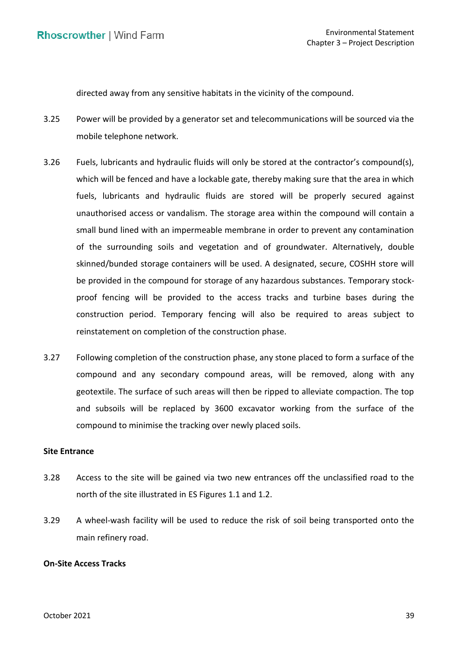directed away from any sensitive habitats in the vicinity of the compound.

- 3.25 Power will be provided by a generator set and telecommunications will be sourced via the mobile telephone network.
- 3.26 Fuels, lubricants and hydraulic fluids will only be stored at the contractor's compound(s), which will be fenced and have a lockable gate, thereby making sure that the area in which fuels, lubricants and hydraulic fluids are stored will be properly secured against unauthorised access or vandalism. The storage area within the compound will contain a small bund lined with an impermeable membrane in order to prevent any contamination of the surrounding soils and vegetation and of groundwater. Alternatively, double skinned/bunded storage containers will be used. A designated, secure, COSHH store will be provided in the compound for storage of any hazardous substances. Temporary stock- proof fencing will be provided to the access tracks and turbine bases during the construction period. Temporary fencing will also be required to areas subject to reinstatement on completion of the construction phase.
- 3.27 Following completion of the construction phase, any stone placed to form a surface of the compound and any secondary compound areas, will be removed, along with any geotextile. The surface of such areas will then be ripped to alleviate compaction. The top and subsoils will be replaced by 3600 excavator working from the surface of the compound to minimise the tracking over newly placed soils.

## **Site Entrance**

- 3.28 Access to the site will be gained via two new entrances off the unclassified road to the north of the site illustrated in ES Figures 1.1 and 1.2.
- 3.29 A wheel-wash facility will be used to reduce the risk of soil being transported onto the main refinery road.

# **On-Site Access Tracks**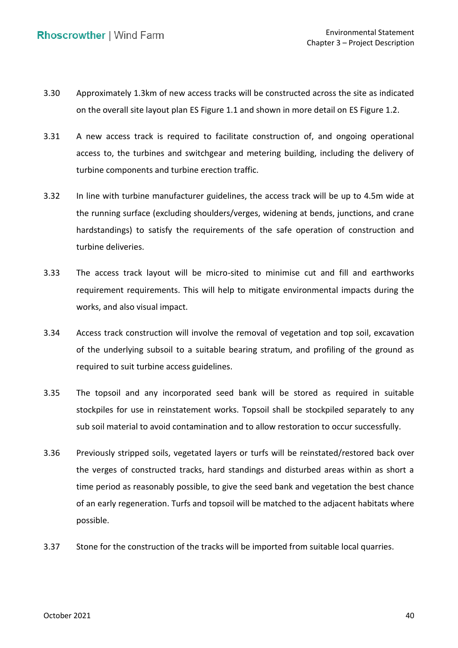- 3.30 Approximately 1.3km of new access tracks will be constructed across the site as indicated on the overall site layout plan ES Figure 1.1 and shown in more detail on ES Figure 1.2.
- 3.31 A new access track is required to facilitate construction of, and ongoing operational access to, the turbines and switchgear and metering building, including the delivery of turbine components and turbine erection traffic.
- 3.32 In line with turbine manufacturer guidelines, the access track will be up to 4.5m wide at the running surface (excluding shoulders/verges, widening at bends, junctions, and crane hardstandings) to satisfy the requirements of the safe operation of construction and turbine deliveries.
- 3.33 The access track layout will be micro-sited to minimise cut and fill and earthworks requirement requirements. This will help to mitigate environmental impacts during the works, and also visual impact.
- 3.34 Access track construction will involve the removal of vegetation and top soil, excavation of the underlying subsoil to a suitable bearing stratum, and profiling of the ground as required to suit turbine access guidelines.
- 3.35 The topsoil and any incorporated seed bank will be stored as required in suitable stockpiles for use in reinstatement works. Topsoil shall be stockpiled separately to any sub soil material to avoid contamination and to allow restoration to occur successfully.
- 3.36 Previously stripped soils, vegetated layers or turfs will be reinstated/restored back over the verges of constructed tracks, hard standings and disturbed areas within as short a time period as reasonably possible, to give the seed bank and vegetation the best chance of an early regeneration. Turfs and topsoil will be matched to the adjacent habitats where possible.
- 3.37 Stone for the construction of the tracks will be imported from suitable local quarries.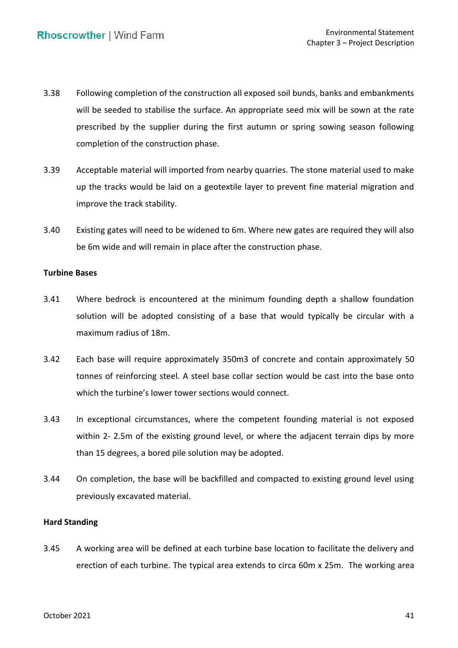- 3.38 Following completion of the construction all exposed soil bunds, banks and embankments will be seeded to stabilise the surface. An appropriate seed mix will be sown at the rate prescribed by the supplier during the first autumn or spring sowing season following completion of the construction phase.
- 3.39 Acceptable material will imported from nearby quarries. The stone material used to make up the tracks would be laid on a geotextile layer to prevent fine material migration and improve the track stability.
- 3.40 Existing gates will need to be widened to 6m. Where new gates are required they will also be 6m wide and will remain in place after the construction phase.

#### **Turbine Bases**

- 3.41 Where bedrock is encountered at the minimum founding depth a shallow foundation solution will be adopted consisting of a base that would typically be circular with a maximum radius of 18m.
- 3.42 Each base will require approximately 350m3 of concrete and contain approximately 50 tonnes of reinforcing steel. A steel base collar section would be cast into the base onto which the turbine's lower tower sections would connect.
- 3.43 In exceptional circumstances, where the competent founding material is not exposed within 2- 2.5m of the existing ground level, or where the adjacent terrain dips by more than 15 degrees, a bored pile solution may be adopted.
- 3.44 On completion, the base will be backfilled and compacted to existing ground level using previously excavated material.

## **Hard Standing**

 3.45 A working area will be defined at each turbine base location to facilitate the delivery and erection of each turbine. The typical area extends to circa 60m x 25m. The working area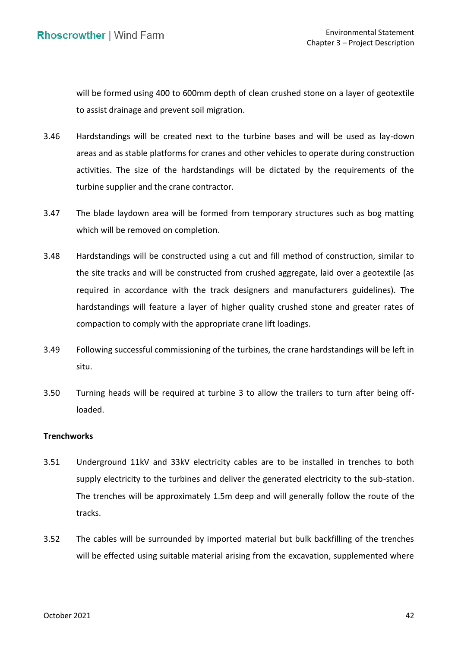will be formed using 400 to 600mm depth of clean crushed stone on a layer of geotextile to assist drainage and prevent soil migration.

- 3.46 Hardstandings will be created next to the turbine bases and will be used as lay-down areas and as stable platforms for cranes and other vehicles to operate during construction activities. The size of the hardstandings will be dictated by the requirements of the turbine supplier and the crane contractor.
- 3.47 The blade laydown area will be formed from temporary structures such as bog matting which will be removed on completion.
- 3.48 Hardstandings will be constructed using a cut and fill method of construction, similar to the site tracks and will be constructed from crushed aggregate, laid over a geotextile (as required in accordance with the track designers and manufacturers guidelines). The hardstandings will feature a layer of higher quality crushed stone and greater rates of compaction to comply with the appropriate crane lift loadings.
- 3.49 Following successful commissioning of the turbines, the crane hardstandings will be left in situ.
- 3.50 Turning heads will be required at turbine 3 to allow the trailers to turn after being offloaded.

## **Trenchworks**

- 3.51 Underground 11kV and 33kV electricity cables are to be installed in trenches to both supply electricity to the turbines and deliver the generated electricity to the sub-station. The trenches will be approximately 1.5m deep and will generally follow the route of the tracks.
- 3.52 The cables will be surrounded by imported material but bulk backfilling of the trenches will be effected using suitable material arising from the excavation, supplemented where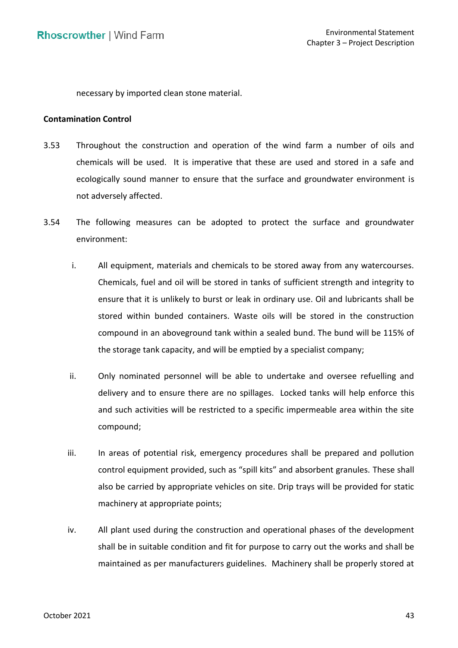necessary by imported clean stone material.

## **Contamination Control**

- 3.53 Throughout the construction and operation of the wind farm a number of oils and chemicals will be used. It is imperative that these are used and stored in a safe and ecologically sound manner to ensure that the surface and groundwater environment is not adversely affected.
- 3.54 The following measures can be adopted to protect the surface and groundwater environment:
	- i. All equipment, materials and chemicals to be stored away from any watercourses. Chemicals, fuel and oil will be stored in tanks of sufficient strength and integrity to ensure that it is unlikely to burst or leak in ordinary use. Oil and lubricants shall be stored within bunded containers. Waste oils will be stored in the construction compound in an aboveground tank within a sealed bund. The bund will be 115% of the storage tank capacity, and will be emptied by a specialist company;
	- ii. Only nominated personnel will be able to undertake and oversee refuelling and delivery and to ensure there are no spillages. Locked tanks will help enforce this and such activities will be restricted to a specific impermeable area within the site compound;
	- iii. In areas of potential risk, emergency procedures shall be prepared and pollution control equipment provided, such as "spill kits" and absorbent granules. These shall also be carried by appropriate vehicles on site. Drip trays will be provided for static machinery at appropriate points;
	- iv. All plant used during the construction and operational phases of the development shall be in suitable condition and fit for purpose to carry out the works and shall be maintained as per manufacturers guidelines. Machinery shall be properly stored at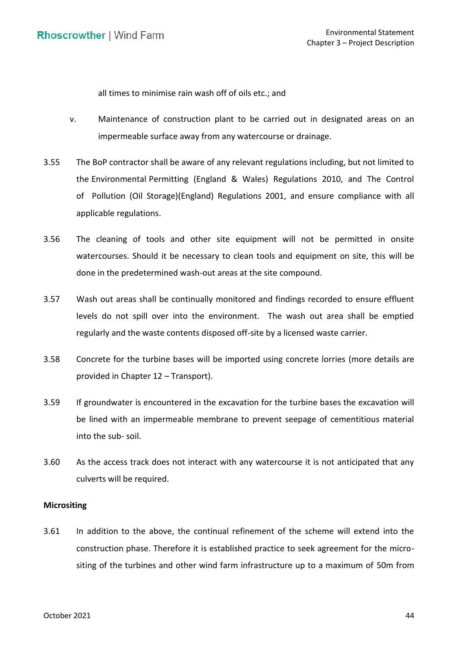all times to minimise rain wash off of oils etc.; and

- v. Maintenance of construction plant to be carried out in designated areas on an impermeable surface away from any watercourse or drainage.
- 3.55 The BoP contractor shall be aware of any relevant regulations including, but not limited to the Environmental Permitting (England & Wales) Regulations 2010, and The Control of Pollution (Oil Storage)(England) Regulations 2001, and ensure compliance with all applicable regulations.
- 3.56 The cleaning of tools and other site equipment will not be permitted in onsite watercourses. Should it be necessary to clean tools and equipment on site, this will be done in the predetermined wash-out areas at the site compound.
- 3.57 Wash out areas shall be continually monitored and findings recorded to ensure effluent levels do not spill over into the environment. The wash out area shall be emptied regularly and the waste contents disposed off-site by a licensed waste carrier.
- 3.58 Concrete for the turbine bases will be imported using concrete lorries (more details are provided in Chapter 12 – Transport).
- 3.59 If groundwater is encountered in the excavation for the turbine bases the excavation will be lined with an impermeable membrane to prevent seepage of cementitious material into the sub- soil.
- 3.60 As the access track does not interact with any watercourse it is not anticipated that any culverts will be required.

## **Micrositing**

 3.61 In addition to the above, the continual refinement of the scheme will extend into the construction phase. Therefore it is established practice to seek agreement for the micro-siting of the turbines and other wind farm infrastructure up to a maximum of 50m from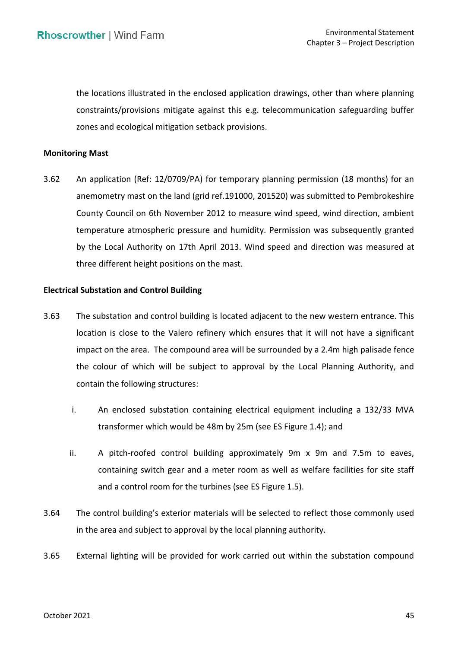the locations illustrated in the enclosed application drawings, other than where planning constraints/provisions mitigate against this e.g. telecommunication safeguarding buffer zones and ecological mitigation setback provisions.

# **Monitoring Mast**

 3.62 An application (Ref: 12/0709/PA) for temporary planning permission (18 months) for an anemometry mast on the land (grid ref.191000, 201520) was submitted to Pembrokeshire County Council on 6th November 2012 to measure wind speed, wind direction, ambient temperature atmospheric pressure and humidity. Permission was subsequently granted by the Local Authority on 17th April 2013. Wind speed and direction was measured at three different height positions on the mast.

#### **Electrical Substation and Control Building**

- 3.63 The substation and control building is located adjacent to the new western entrance. This location is close to the Valero refinery which ensures that it will not have a significant impact on the area. The compound area will be surrounded by a 2.4m high palisade fence the colour of which will be subject to approval by the Local Planning Authority, and contain the following structures:
	- i. An enclosed substation containing electrical equipment including a 132/33 MVA transformer which would be 48m by 25m (see ES Figure 1.4); and
	- ii. A pitch-roofed control building approximately 9m x 9m and 7.5m to eaves, containing switch gear and a meter room as well as welfare facilities for site staff and a control room for the turbines (see ES Figure 1.5).
- 3.64 The control building's exterior materials will be selected to reflect those commonly used in the area and subject to approval by the local planning authority.
- 3.65 External lighting will be provided for work carried out within the substation compound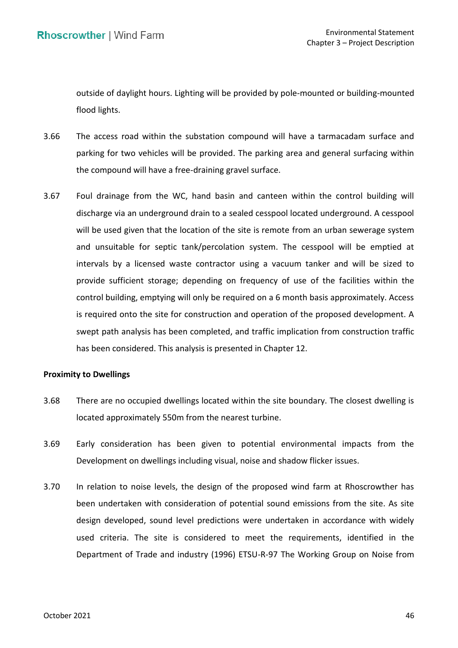outside of daylight hours. Lighting will be provided by pole-mounted or building-mounted flood lights.

- 3.66 The access road within the substation compound will have a tarmacadam surface and parking for two vehicles will be provided. The parking area and general surfacing within the compound will have a free-draining gravel surface.
- 3.67 Foul drainage from the WC, hand basin and canteen within the control building will discharge via an underground drain to a sealed cesspool located underground. A cesspool will be used given that the location of the site is remote from an urban sewerage system and unsuitable for septic tank/percolation system. The cesspool will be emptied at intervals by a licensed waste contractor using a vacuum tanker and will be sized to provide sufficient storage; depending on frequency of use of the facilities within the control building, emptying will only be required on a 6 month basis approximately. Access is required onto the site for construction and operation of the proposed development. A swept path analysis has been completed, and traffic implication from construction traffic has been considered. This analysis is presented in Chapter 12.

# **Proximity to Dwellings**

- 3.68 There are no occupied dwellings located within the site boundary. The closest dwelling is located approximately 550m from the nearest turbine.
- 3.69 Early consideration has been given to potential environmental impacts from the Development on dwellings including visual, noise and shadow flicker issues.
- 3.70 In relation to noise levels, the design of the proposed wind farm at Rhoscrowther has been undertaken with consideration of potential sound emissions from the site. As site design developed, sound level predictions were undertaken in accordance with widely used criteria. The site is considered to meet the requirements, identified in the Department of Trade and industry (1996) ETSU-R-97 The Working Group on Noise from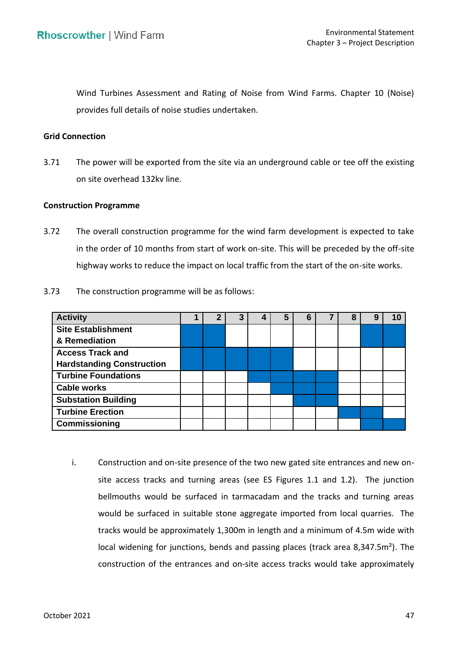Wind Turbines Assessment and Rating of Noise from Wind Farms. Chapter 10 (Noise) provides full details of noise studies undertaken.

# **Grid Connection**

3.71 The power will be exported from the site via an underground cable or tee off the existing on site overhead 132kv line.

# **Construction Programme**

 3.72 The overall construction programme for the wind farm development is expected to take in the order of 10 months from start of work on-site. This will be preceded by the off-site highway works to reduce the impact on local traffic from the start of the on-site works.

| 3.73 | The construction programme will be as follows: |
|------|------------------------------------------------|
|------|------------------------------------------------|

| <b>Activity</b>                  |  | 3 | 5 | 6 | 8 | 9 |  |
|----------------------------------|--|---|---|---|---|---|--|
| <b>Site Establishment</b>        |  |   |   |   |   |   |  |
| & Remediation                    |  |   |   |   |   |   |  |
| <b>Access Track and</b>          |  |   |   |   |   |   |  |
| <b>Hardstanding Construction</b> |  |   |   |   |   |   |  |
| <b>Turbine Foundations</b>       |  |   |   |   |   |   |  |
| <b>Cable works</b>               |  |   |   |   |   |   |  |
| <b>Substation Building</b>       |  |   |   |   |   |   |  |
| <b>Turbine Erection</b>          |  |   |   |   |   |   |  |
| Commissioning                    |  |   |   |   |   |   |  |

 i. Construction and on-site presence of the two new gated site entrances and new on- site access tracks and turning areas (see ES Figures 1.1 and 1.2). The junction bellmouths would be surfaced in tarmacadam and the tracks and turning areas would be surfaced in suitable stone aggregate imported from local quarries. The tracks would be approximately 1,300m in length and a minimum of 4.5m wide with local widening for junctions, bends and passing places (track area 8,347.5m²). The construction of the entrances and on-site access tracks would take approximately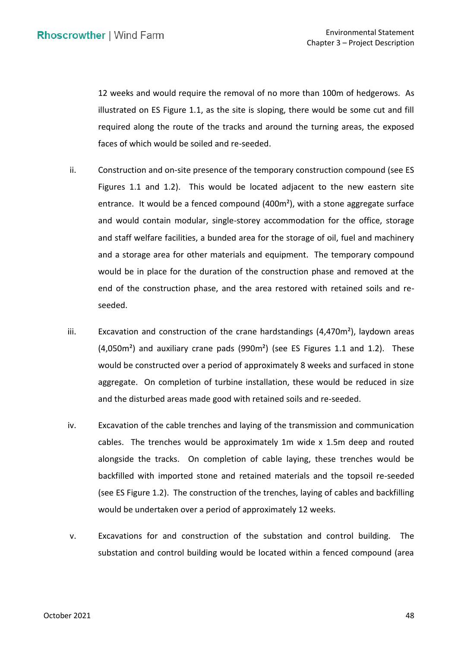12 weeks and would require the removal of no more than 100m of hedgerows. As illustrated on ES Figure 1.1, as the site is sloping, there would be some cut and fill required along the route of the tracks and around the turning areas, the exposed faces of which would be soiled and re-seeded.

- ii. Construction and on-site presence of the temporary construction compound (see ES Figures 1.1 and 1.2). This would be located adjacent to the new eastern site entrance. It would be a fenced compound (400m<sup>2</sup>), with a stone aggregate surface and would contain modular, single-storey accommodation for the office, storage and staff welfare facilities, a bunded area for the storage of oil, fuel and machinery and a storage area for other materials and equipment. The temporary compound would be in place for the duration of the construction phase and removed at the end of the construction phase, and the area restored with retained soils and reseeded.
- iii.  $E$  Excavation and construction of the crane hardstandings (4,470m<sup>2</sup>), laydown areas  $(4,050m<sup>2</sup>)$  and auxiliary crane pads  $(990m<sup>2</sup>)$  (see ES Figures 1.1 and 1.2). These would be constructed over a period of approximately 8 weeks and surfaced in stone aggregate. On completion of turbine installation, these would be reduced in size and the disturbed areas made good with retained soils and re-seeded.
- iv. Excavation of the cable trenches and laying of the transmission and communication cables. The trenches would be approximately 1m wide x 1.5m deep and routed alongside the tracks. On completion of cable laying, these trenches would be backfilled with imported stone and retained materials and the topsoil re-seeded (see ES Figure 1.2). The construction of the trenches, laying of cables and backfilling would be undertaken over a period of approximately 12 weeks.
- v. Excavations for and construction of the substation and control building. The substation and control building would be located within a fenced compound (area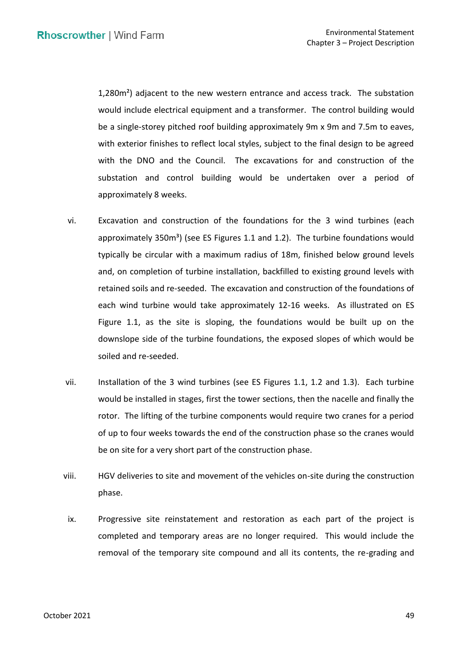1,280m²) adjacent to the new western entrance and access track. The substation would include electrical equipment and a transformer. The control building would be a single-storey pitched roof building approximately 9m x 9m and 7.5m to eaves, with exterior finishes to reflect local styles, subject to the final design to be agreed with the DNO and the Council. The excavations for and construction of the substation and control building would be undertaken over a period of<br>approximately 8 weeks. approximately 8 weeks.

- vi. Excavation and construction of the foundations for the 3 wind turbines (each approximately  $350m<sup>3</sup>$ ) (see ES Figures 1.1 and 1.2). The turbine foundations would typically be circular with a maximum radius of 18m, finished below ground levels and, on completion of turbine installation, backfilled to existing ground levels with retained soils and re-seeded. The excavation and construction of the foundations of each wind turbine would take approximately 12-16 weeks. As illustrated on ES Figure 1.1, as the site is sloping, the foundations would be built up on the downslope side of the turbine foundations, the exposed slopes of which would be soiled and re-seeded.
- vii. Installation of the 3 wind turbines (see ES Figures 1.1, 1.2 and 1.3). Each turbine would be installed in stages, first the tower sections, then the nacelle and finally the of up to four weeks towards the end of the construction phase so the cranes would be on site for a very short part of the construction phase. rotor. The lifting of the turbine components would require two cranes for a period
- viii. HGV deliveries to site and movement of the vehicles on-site during the construction phase.
- ix. Progressive site reinstatement and restoration as each part of the project is completed and temporary areas are no longer required. This would include the removal of the temporary site compound and all its contents, the re-grading and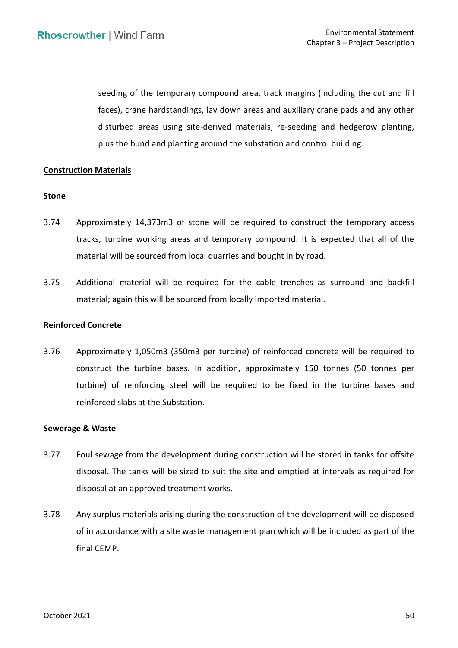seeding of the temporary compound area, track margins (including the cut and fill faces), crane hardstandings, lay down areas and auxiliary crane pads and any other disturbed areas using site-derived materials, re-seeding and hedgerow planting, plus the bund and planting around the substation and control building.

## **Construction Materials**

## **Stone**

- 3.74 Approximately 14,373m3 of stone will be required to construct the temporary access tracks, turbine working areas and temporary compound. It is expected that all of the material will be sourced from local quarries and bought in by road.
- 3.75 Additional material will be required for the cable trenches as surround and backfill material; again this will be sourced from locally imported material.

## **Reinforced Concrete**

 3.76 Approximately 1,050m3 (350m3 per turbine) of reinforced concrete will be required to turbine) of reinforcing steel will be required to be fixed in the turbine bases and reinforced slabs at the Substation. construct the turbine bases. In addition, approximately 150 tonnes (50 tonnes per

#### **Sewerage & Waste**

- 3.77 Foul sewage from the development during construction will be stored in tanks for offsite disposal. The tanks will be sized to suit the site and emptied at intervals as required for disposal at an approved treatment works.
- 3.78 Any surplus materials arising during the construction of the development will be disposed of in accordance with a site waste management plan which will be included as part of the final CEMP.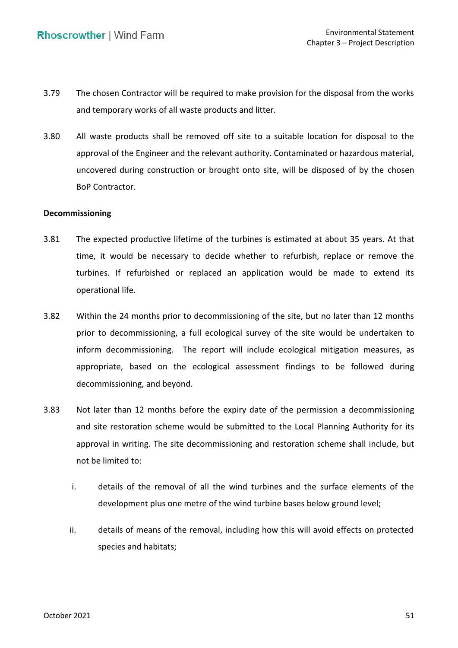- 3.79 The chosen Contractor will be required to make provision for the disposal from the works and temporary works of all waste products and litter.
- 3.80 All waste products shall be removed off site to a suitable location for disposal to the approval of the Engineer and the relevant authority. Contaminated or hazardous material, uncovered during construction or brought onto site, will be disposed of by the chosen BoP Contractor.

## **Decommissioning**

- 3.81 The expected productive lifetime of the turbines is estimated at about 35 years. At that time, it would be necessary to decide whether to refurbish, replace or remove the turbines. If refurbished or replaced an application would be made to extend its operational life.
- 3.82 Within the 24 months prior to decommissioning of the site, but no later than 12 months prior to decommissioning, a full ecological survey of the site would be undertaken to inform decommissioning. The report will include ecological mitigation measures, as appropriate, based on the ecological assessment findings to be followed during decommissioning, and beyond.
- 3.83 Not later than 12 months before the expiry date of the permission a decommissioning and site restoration scheme would be submitted to the Local Planning Authority for its approval in writing. The site decommissioning and restoration scheme shall include, but not be limited to:
	- i. details of the removal of all the wind turbines and the surface elements of the development plus one metre of the wind turbine bases below ground level;
	- ii. details of means of the removal, including how this will avoid effects on protected species and habitats;